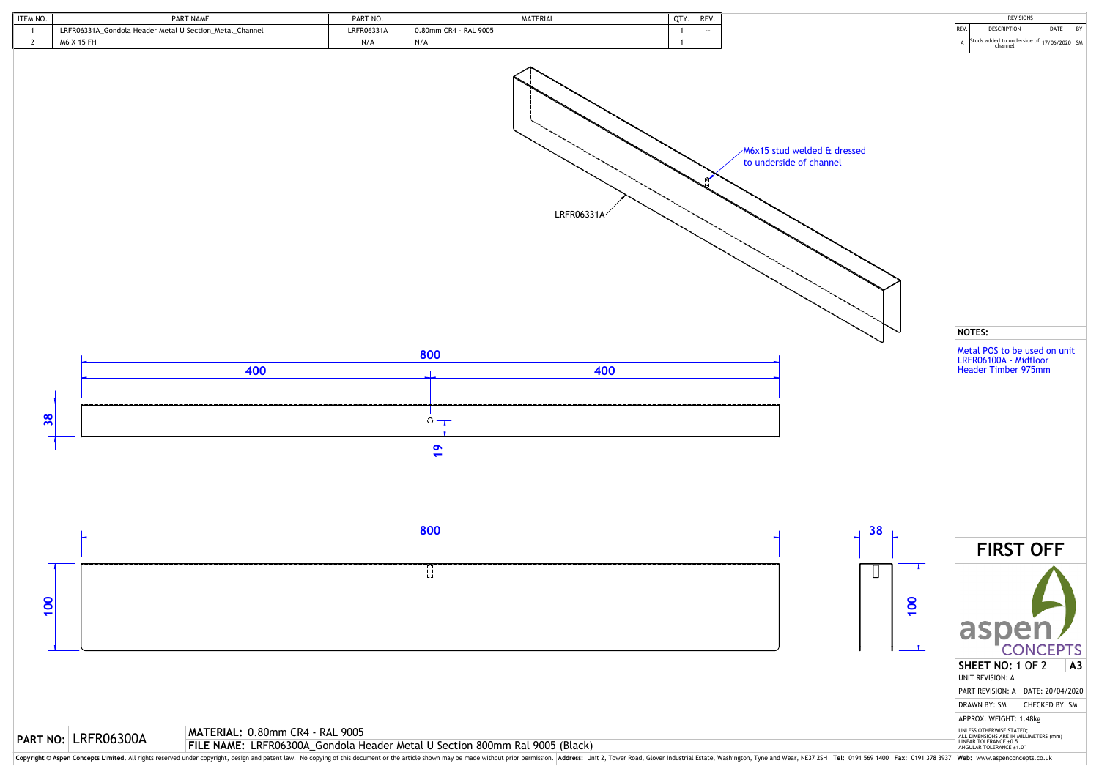



| ITEM NO. | <b>PART NAME</b>                                                   | PART NO.   | MATERIAL                  | QTY. | <b>REV</b> |
|----------|--------------------------------------------------------------------|------------|---------------------------|------|------------|
|          | ._Gondola Header Metal U Section_Metal_<br>LRFR06331A<br>. Channel | LRFR06331A | .9005<br>0.80mm CR4 - RAL |      | $- -$      |
|          | ለለራ                                                                | $N/\sim$   | N/A                       |      |            |

**MATERIAL:** 0.80mm CR4 - RAL 9005

**FILE NO:** LRFR06300A MATERIAL: 0.80mm CR4 - RAL 9005<br>FILE NAME: LRFR06300A\_Gondola Header Metal U Section 800mm Ral 9005 (Black)

Copyright © Aspen Concepts Limited. All rights reserved under copyright, design and patent law. No copying of this document or the article shown may be made without prior permission. Address: Unit 2, Tower Road, Glover Ind